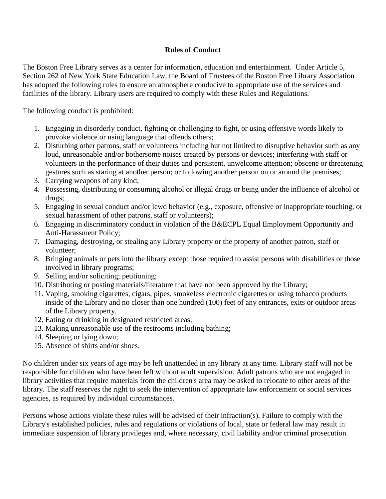## **Rules of Conduct**

The Boston Free Library serves as a center for information, education and entertainment. Under Article 5, Section 262 of New York State Education Law, the Board of Trustees of the Boston Free Library Association has adopted the following rules to ensure an atmosphere conducive to appropriate use of the services and facilities of the library. Library users are required to comply with these Rules and Regulations.

The following conduct is prohibited:

- 1. Engaging in disorderly conduct, fighting or challenging to fight, or using offensive words likely to provoke violence or using language that offends others;
- 2. Disturbing other patrons, staff or volunteers including but not limited to disruptive behavior such as any loud, unreasonable and/or bothersome noises created by persons or devices; interfering with staff or volunteers in the performance of their duties and persistent, unwelcome attention; obscene or threatening gestures such as staring at another person; or following another person on or around the premises;
- 3. Carrying weapons of any kind;
- 4. Possessing, distributing or consuming alcohol or illegal drugs or being under the influence of alcohol or drugs;
- 5. Engaging in sexual conduct and/or lewd behavior (e.g., exposure, offensive or inappropriate touching, or sexual harassment of other patrons, staff or volunteers);
- 6. Engaging in discriminatory conduct in violation of the B&ECPL Equal Employment Opportunity and Anti-Harassment Policy;
- 7. Damaging, destroying, or stealing any Library property or the property of another patron, staff or volunteer;
- 8. Bringing animals or pets into the library except those required to assist persons with disabilities or those involved in library programs;
- 9. Selling and/or soliciting; petitioning;
- 10. Distributing or posting materials/literature that have not been approved by the Library;
- 11. Vaping, smoking cigarettes, cigars, pipes, smokeless electronic cigarettes or using tobacco products inside of the Library and no closer than one hundred (100) feet of any entrances, exits or outdoor areas of the Library property.
- 12. Eating or drinking in designated restricted areas;
- 13. Making unreasonable use of the restrooms including bathing;
- 14. Sleeping or lying down;
- 15. Absence of shirts and/or shoes.

No children under six years of age may be left unattended in any library at any time. Library staff will not be responsible for children who have been left without adult supervision. Adult patrons who are not engaged in library activities that require materials from the children's area may be asked to relocate to other areas of the library. The staff reserves the right to seek the intervention of appropriate law enforcement or social services agencies, as required by individual circumstances.

Persons whose actions violate these rules will be advised of their infraction(s). Failure to comply with the Library's established policies, rules and regulations or violations of local, state or federal law may result in immediate suspension of library privileges and, where necessary, civil liability and/or criminal prosecution.